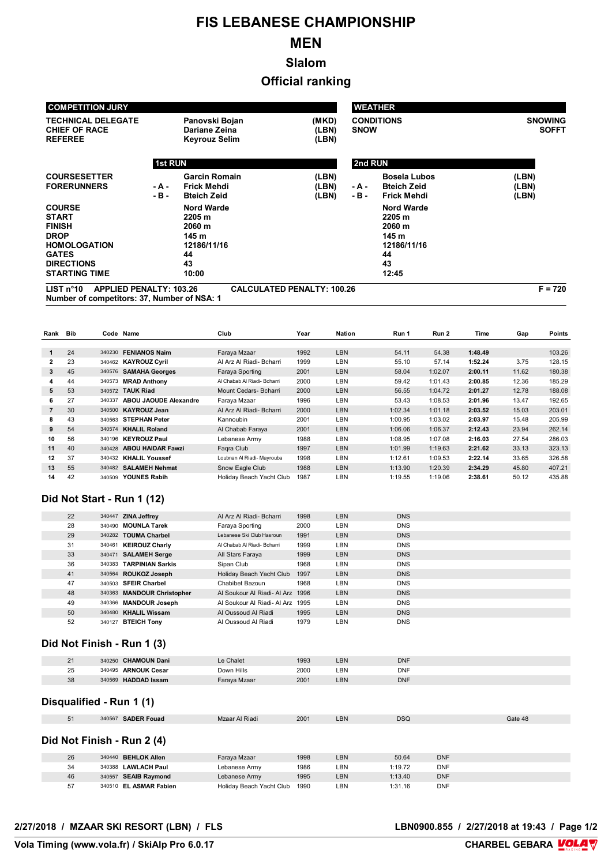# **FIS LEBANESE CHAMPIONSHIP**

# **MEN**

**Slalom**

### **Official ranking**

| <b>COMPETITION JURY</b>                                                                                                                           |                 |                                                                                    |                                   | <b>WEATHER</b>                   |                                                                                    |                                |  |  |
|---------------------------------------------------------------------------------------------------------------------------------------------------|-----------------|------------------------------------------------------------------------------------|-----------------------------------|----------------------------------|------------------------------------------------------------------------------------|--------------------------------|--|--|
| <b>TECHNICAL DELEGATE</b><br><b>CHIEF OF RACE</b><br><b>REFEREE</b>                                                                               |                 | Panovski Bojan<br>Dariane Zeina<br><b>Keyrouz Selim</b>                            | (MKD)<br>(LBN)<br>(LBN)           | <b>CONDITIONS</b><br><b>SNOW</b> |                                                                                    | <b>SNOWING</b><br><b>SOFFT</b> |  |  |
|                                                                                                                                                   | <b>1st RUN</b>  |                                                                                    |                                   | 2nd RUN                          |                                                                                    |                                |  |  |
| <b>COURSESETTER</b><br><b>FORERUNNERS</b>                                                                                                         | - A -<br>$-B -$ | <b>Garcin Romain</b><br>Frick Mehdi<br><b>Bteich Zeid</b>                          | (LBN)<br>(LBN)<br>(LBN)           | - A -<br>- B -                   | <b>Bosela Lubos</b><br><b>Bteich Zeid</b><br>Frick Mehdi                           | (LBN)<br>(LBN)<br>(LBN)        |  |  |
| <b>COURSE</b><br><b>START</b><br><b>FINISH</b><br><b>DROP</b><br><b>HOMOLOGATION</b><br><b>GATES</b><br><b>DIRECTIONS</b><br><b>STARTING TIME</b> |                 | <b>Nord Warde</b><br>2205 m<br>2060 m<br>145 m<br>12186/11/16<br>44<br>43<br>10:00 |                                   |                                  | <b>Nord Warde</b><br>2205 m<br>2060 m<br>145 m<br>12186/11/16<br>44<br>43<br>12:45 |                                |  |  |
| LIST n <sup>°</sup> 10<br><b>APPLIED PENALTY: 103.26</b><br>Number of compositors: 27 Number of NRA: 4                                            |                 |                                                                                    | <b>CALCULATED PENALTY: 100.26</b> |                                  |                                                                                    | $F = 720$                      |  |  |

**Number of competitors: 37, Number of NSA: 1**

**Rank Bib Code Name Club Year Nation Run 1 Run 2 Time Gap Points** 24 340230 **FENIANOS Naim** Faraya Mzaar 1992 LBN 54.11 54.38 **1:48.49** 103.26 23 340462 **KAYROUZ Cyril** Al Arz Al Riadi- Bcharri 1999 LBN 55.10 57.14 **1:52.24** 3.75 128.15 45 340576 **SAMAHA Georges** Faraya Sporting 2001 LBN 58.04 1:02.07 **2:00.11** 11.62 180.38 44 340573 **MRAD Anthony** Al Chabab Al Riadi- Bcharri 2000 LBN 59.42 1:01.43 **2:00.85** 12.36 185.29 53 340572 **TAUK Riad** Mount Cedars- Bcharri 2000 LBN 56.55 1:04.72 **2:01.27** 12.78 188.08 27 340337 **ABOU JAOUDE Alexandre** Faraya Mzaar 1996 LBN 53.43 1:08.53 **2:01.96** 13.47 192.65 30 340500 **KAYROUZ Jean** Al Arz Al Riadi- Bcharri 2000 LBN 1:02.34 1:01.18 **2:03.52** 15.03 203.01 43 340563 **STEPHAN Peter** Kannoubin 2001 LBN 1:00.95 1:03.02 **2:03.97** 15.48 205.99 54 340574 **KHALIL Roland** Al Chabab Faraya 2001 LBN 1:06.06 1:06.37 **2:12.43** 23.94 262.14 56 340196 **KEYROUZ Paul** Lebanese Army 1988 LBN 1:08.95 1:07.08 **2:16.03** 27.54 286.03 40 340428 **ABOU HAIDAR Fawzi** Faqra Club 1997 LBN 1:01.99 1:19.63 **2:21.62** 33.13 323.13 37 340432 **KHALIL Youssef** Loubnan Al Riadi- Mayrouba 1998 LBN 1:12.61 1:09.53 **2:22.14** 33.65 326.58 55 340482 **SALAMEH Nehmat** Snow Eagle Club 1988 LBN 1:13.90 1:20.39 **2:34.29** 45.80 407.21 42 340509 **YOUNES Rabih** Holiday Beach Yacht Club 1987 LBN 1:19.55 1:19.06 **2:38.61** 50.12 435.88

#### **Did Not Start - Run 1 (12)**

| 22 | 340447 ZINA Jeffrey        | Al Arz Al Riadi- Bcharri         | 1998 | <b>LBN</b> | <b>DNS</b> |
|----|----------------------------|----------------------------------|------|------------|------------|
| 28 | 340490 MOUNLA Tarek        | Faraya Sporting                  | 2000 | LBN        | <b>DNS</b> |
| 29 | 340282 TOUMA Charbel       | Lebanese Ski Club Hasroun        | 1991 | <b>LBN</b> | <b>DNS</b> |
| 31 | 340461 KEIROUZ Charly      | Al Chabab Al Riadi- Bcharri      | 1999 | LBN        | <b>DNS</b> |
| 33 | 340471 SALAMEH Serge       | All Stars Faraya                 | 1999 | <b>LBN</b> | <b>DNS</b> |
| 36 | 340383 TARPINIAN Sarkis    | Sipan Club                       | 1968 | LBN        | <b>DNS</b> |
| 41 | 340564 ROUKOZ Joseph       | Holiday Beach Yacht Club         | 1997 | <b>LBN</b> | <b>DNS</b> |
| 47 | 340503 SFEIR Charbel       | Chabibet Bazoun                  | 1968 | LBN        | <b>DNS</b> |
| 48 | 340363 MANDOUR Christopher | Al Soukour Al Riadi- Al Arz 1996 |      | <b>LBN</b> | <b>DNS</b> |
| 49 | 340366 MANDOUR Joseph      | Al Soukour Al Riadi- Al Arz 1995 |      | LBN        | <b>DNS</b> |
| 50 | 340480 KHALIL Wissam       | Al Oussoud Al Riadi              | 1995 | <b>LBN</b> | <b>DNS</b> |
| 52 | 340127 BTEICH Tony         | Al Oussoud Al Riadi              | 1979 | LBN        | <b>DNS</b> |
|    |                            |                                  |      |            |            |

#### **Did Not Finish - Run 1 (3)**

| 21 | 340250 CHAMOUN Dani           | Le Chalet    | 1993 | LBN | DNF        |  |
|----|-------------------------------|--------------|------|-----|------------|--|
| 25 | <b>ARNOUK Cesar</b><br>340495 | Down Hills   | 2000 | LBN | DNF        |  |
| 38 | 340569 HADDAD Issam           | Farava Mzaar | 2001 | LBN | <b>DNF</b> |  |

#### **Disqualified - Run 1 (1)**

| 51 | <b>SADER Fouad</b><br>340567 | Al Riadi<br>IVI∠d | 2001 | <b>LBN</b> | ner.<br>UOV. | 3ate 48 |
|----|------------------------------|-------------------|------|------------|--------------|---------|

#### **Did Not Finish - Run 2 (4)**

| 26 | 340440 BEHLOK Allen    | Faraya Mzaar             | 1998 | LBN | 50.64   | <b>DNF</b> |
|----|------------------------|--------------------------|------|-----|---------|------------|
| 34 | 340388 LAWLACH Paul    | Lebanese Army            | 1986 | LBN | 1:19.72 | DNF        |
| 46 | 340557 SEAIB Raymond   | Lebanese Army            | 1995 | LBN | 1:13.40 | <b>DNF</b> |
| 57 | 340510 EL ASMAR Fabien | Holiday Beach Yacht Club | 1990 | LBN | 1:31.16 | <b>DNF</b> |